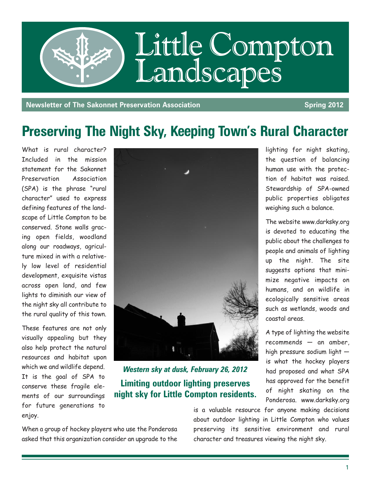

**Newsletter of The Sakonnet Preservation Association Service Spring 2012** 

## **Preserving The Night Sky, Keeping Town's Rural Character**

What is rural character? Included in the mission statement for the Sakonnet Preservation Association (SPA) is the phrase "rural character" used to express defining features of the landscape of Little Compton to be conserved. Stone walls gracing open fields, woodland along our roadways, agriculture mixed in with a relatively low level of residential development, exquisite vistas across open land, and few lights to diminish our view of the night sky all contribute to the rural quality of this town.

These features are not only visually appealing but they also help protect the natural resources and habitat upon which we and wildlife depend. It is the goal of SPA to conserve these fragile elements of our surroundings for future generations to enjoy.



*Western sky at dusk, February 26, 2012* **Limiting outdoor lighting preserves night sky for Little Compton residents.**

When a group of hockey players who use the Ponderosa asked that this organization consider an upgrade to the

is a valuable resource for anyone making decisions about outdoor lighting in Little Compton who values preserving its sensitive environment and rural character and treasures viewing the night sky.

lighting for night skating, the question of balancing human use with the protection of habitat was raised. Stewardship of SPA-owned public properties obligates weighing such a balance.

The website www.darksky.org is devoted to educating the public about the challenges to people and animals of lighting up the night. The site suggests options that minimize negative impacts on humans, and on wildlife in ecologically sensitive areas such as wetlands, woods and coastal areas.

A type of lighting the website recommends — an amber, high pressure sodium light is what the hockey players had proposed and what SPA has approved for the benefit of night skating on the Ponderosa. www.darksky.org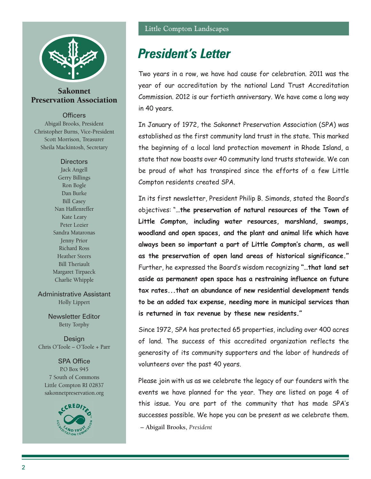

#### Sakonnet Preservation Association

**Officers** 

Abigail Brooks, President Christopher Burns, Vice-President Scott Morrison, Treasurer Sheila Mackintosh, Secretary

#### **Directors**

Jack Angell Gerry Billings Ron Bogle Dan Burke Bill Casey Nan Haffenreffer Kate Leary Peter Lozier Sandra Mataronas Jenny Prior Richard Ross Heather Steers Bill Theriault Margaret Tirpaeck Charlie Whipple

Administrative Assistant Holly Lippert

> Newsletter Editor Betty Torphy

Design Chris O'Toole – O'Toole + Parr

SPA Office P.O Box 945 7 South of Commons Little Compton RI 02837 sakonnetpreservation.org



## *President's Letter*

Two years in a row, we have had cause for celebration. 2011 was the year of our accreditation by the national Land Trust Accreditation Commission. 2012 is our fortieth anniversary. We have come a long way in 40 years.

In January of 1972, the Sakonnet Preservation Association (SPA) was established as the first community land trust in the state. This marked the beginning of a local land protection movement in Rhode Island, a state that now boasts over 40 community land trusts statewide. We can be proud of what has transpired since the efforts of a few Little Compton residents created SPA.

In its first newsletter, President Philip B. Simonds, stated the Board's objectives: "**…the preservation of natural resources of the Town of Little Compton, including water resources, marshland, swamps, woodland and open spaces, and the plant and animal life which have always been so important a part of Little Compton's charm, as well as the preservation of open land areas of historical significance."** Further, he expressed the Board's wisdom recognizing **"…that land set aside as permanent open space has a restraining influence on future tax rates...that an abundance of new residential development tends to be an added tax expense, needing more in municipal services than is returned in tax revenue by these new residents."**

Since 1972, SPA has protected 65 properties, including over 400 acres of land. The success of this accredited organization reflects the generosity of its community supporters and the labor of hundreds of volunteers over the past 40 years.

Please join with us as we celebrate the legacy of our founders with the events we have planned for the year. They are listed on page 4 of this issue. You are part of the community that has made SPA's successes possible. We hope you can be present as we celebrate them. **– Abigail Brooks,** *President*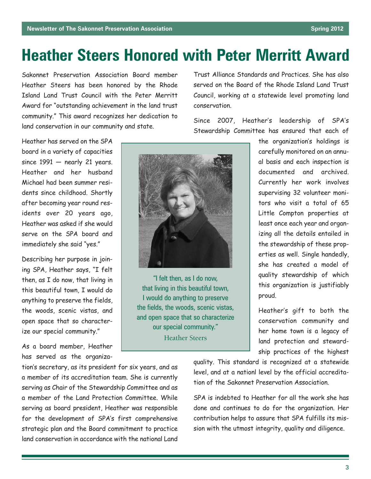## **Heather Steers Honored with Peter Merritt Award**

Sakonnet Preservation Association Board member Heather Steers has been honored by the Rhode Island Land Trust Council with the Peter Merritt Award for "outstanding achievement in the land trust community." This award recognizes her dedication to land conservation in our community and state.

Trust Alliance Standards and Practices. She has also served on the Board of the Rhode Island Land Trust Council, working at a statewide level promoting land conservation.

Since 2007, Heather's leadership of SPA's Stewardship Committee has ensured that each of

Heather has served on the SPA board in a variety of capacities since  $1991 -$  nearly 21 years. Heather and her husband Michael had been summer residents since childhood. Shortly after becoming year round residents over 20 years ago, Heather was asked if she would serve on the SPA board and immediately she said "yes."

Describing her purpose in joining SPA, Heather says, "I felt then, as I do now, that living in this beautiful town, I would do anything to preserve the fields, the woods, scenic vistas, and open space that so characterize our special community."

As a board member, Heather has served as the organiza-



"I felt then, as I do now, that living in this beautiful town, I would do anything to preserve the fields, the woods, scenic vistas, and open space that so characterize our special community." Heather Steers

the organization's holdings is carefully monitored on an annual basis and each inspection is documented and archived. Currently her work involves supervising 32 volunteer monitors who visit a total of 65 Little Compton properties at least once each year and organizing all the details entailed in the stewardship of these properties as well. Single handedly, she has created a model of quality stewardship of which this organization is justifiably proud.

Heather's gift to both the conservation community and her home town is a legacy of land protection and stewardship practices of the highest

tion's secretary, as its president for six years, and as a member of its accreditation team. She is currently serving as Chair of the Stewardship Committee and as a member of the Land Protection Committee. While serving as board president, Heather was responsible for the development of SPA's first comprehensive strategic plan and the Board commitment to practice land conservation in accordance with the national Land

quality. This standard is recognized at a statewide level, and at a nationl level by the official accreditation of the Sakonnet Preservation Association.

SPA is indebted to Heather for all the work she has done and continues to do for the organization. Her contribution helps to assure that SPA fulfills its mission with the utmost integrity, quality and diligence.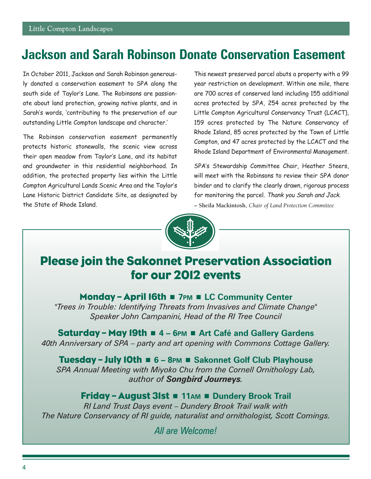## **Jackson and Sarah Robinson Donate Conservation Easement**

In October 2011, Jackson and Sarah Robinson generously donated a conservation easement to SPA along the south side of Taylor's Lane. The Robinsons are passionate about land protection, growing native plants, and in Sarah's words, 'contributing to the preservation of our outstanding Little Compton landscape and character.'

The Robinson conservation easement permanently protects historic stonewalls, the scenic view across their open meadow from Taylor's Lane, and its habitat and groundwater in this residential neighborhood. In addition, the protected property lies within the Little Compton Agricultural Lands Scenic Area and the Taylor's Lane Historic District Candidate Site, as designated by the State of Rhode Island.

This newest preserved parcel abuts a property with a 99 year restriction on development. Within one mile, there are 700 acres of conserved land including 155 additional acres protected by SPA, 254 acres protected by the Little Compton Agricultural Conservancy Trust (LCACT), 159 acres protected by The Nature Conservancy of Rhode Island, 85 acres protected by the Town of Little Compton, and 47 acres protected by the LCACT and the Rhode Island Department of Environmental Management.

SPA's Stewardship Committee Chair, Heather Steers, will meet with the Robinsons to review their SPA donor binder and to clarify the clearly drawn, rigorous process for monitoring the parcel. Thank you Sarah and Jack. **– Sheila Mackintosh,** *Chair of Land Protection Committee*



## Please join the Sakonnet Preservation Association for our 2012 events

#### **Monday – April 16th ■ 7PM ■ LC Community Center**

*"Trees in Trouble: Identifying Threats from Invasives and Climate Change" Speaker John Campanini, Head of the RI Tree Council*

Saturday – May 19th <sup>n</sup> **4 – 6PM** <sup>n</sup> **Art Café and Gallery Gardens** *40th Anniversary of SPA – party and art opening with Commons Cottage Gallery.*

Tuesday – July 10th <sup>n</sup> **6 – 8PM** <sup>n</sup> **Sakonnet Golf Club Playhouse** *SPA Annual Meeting with Miyoko Chu from the Cornell Ornithology Lab, author of Songbird Journeys.*

#### Friday – August 31st <sup>n</sup> **11AM** <sup>n</sup> **Dundery Brook Trail** *RI Land Trust Days event – Dundery Brook Trail walk with The Nature Conservancy of RI guide, naturalist and ornithologist, Scott Comings.*

*All are Welcome!*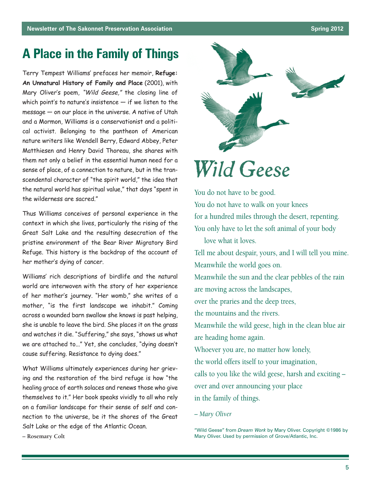## **A Place in the Family of Things**

Terry Tempest Williams' prefaces her memoir, **Refuge: An Unnatural History of Family and Place** (2001), with Mary Oliver's poem, "Wild Geese," the closing line of which point's to nature's insistence  $-$  if we listen to the message — on our place in the universe. A native of Utah and a Mormon, Williams is a conservationist and a political activist. Belonging to the pantheon of American nature writers like Wendell Berry, Edward Abbey, Peter Matthiesen and Henry David Thoreau, she shares with them not only a belief in the essential human need for a sense of place, of a connection to nature, but in the transcendental character of "the spirit world," the idea that the natural world has spiritual value," that days "spent in the wilderness are sacred."

Thus Williams conceives of personal experience in the context in which she lives, particularly the rising of the Great Salt Lake and the resulting desecration of the pristine environment of the Bear River Migratory Bird Refuge. This history is the backdrop of the account of her mother's dying of cancer.

Williams' rich descriptions of birdlife and the natural world are interwoven with the story of her experience of her mother's journey. "Her womb," she writes of a mother, "is the first landscape we inhabit." Coming across a wounded barn swallow she knows is past helping, she is unable to leave the bird. She places it on the grass and watches it die. "Suffering," she says, "shows us what we are attached to..." Yet, she concludes, "dying doesn't cause suffering. Resistance to dying does."

What Williams ultimately experiences during her grieving and the restoration of the bird refuge is how "the healing grace of earth solaces and renews those who give themselves to it." Her book speaks vividly to all who rely on a familiar landscape for their sense of self and connection to the universe, be it the shores of the Great Salt Lake or the edge of the Atlantic Ocean.



# *Wild Geese*

You do not have to be good. You do not have to walk on your knees for a hundred miles through the desert, repenting. You only have to let the soft animal of your body love what it loves. Tell me about despair, yours, and I will tell you mine. Meanwhile the world goes on. Meanwhile the sun and the clear pebbles of the rain are moving across the landscapes, over the praries and the deep trees, the mountains and the rivers. Meanwhile the wild geese, high in the clean blue air are heading home again. Whoever you are, no matter how lonely, the world offers itself to your imagination, calls to you like the wild geese, harsh and exciting – over and over announcing your place in the family of things.

*– Mary Oliver*

<sup>&</sup>quot;Wild Geese" from *Dream Work* by Mary Oliver. Copyright ©1986 by Mary Oliver. Used by permission of Grove/Atlantic, Inc.